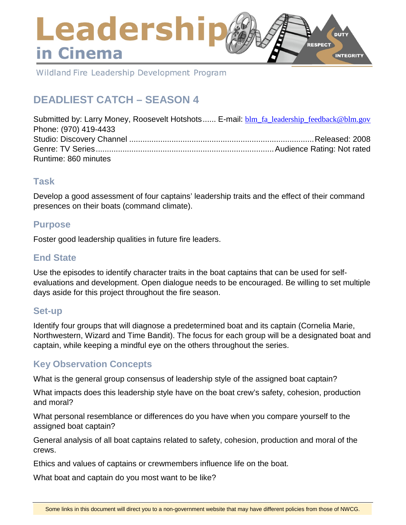# Leadershi **DUTY RESPECT** in Cinema **INTEGRITY**

Wildland Fire Leadership Development Program

# **DEADLIEST CATCH – SEASON 4**

Submitted by: Larry Money, Roosevelt Hotshots...... E-mail: [blm\\_fa\\_leadership\\_feedback@blm.gov](mailto:blm_fa_leadership_feedback@blm.gov) Phone: (970) 419-4433 Studio: Discovery Channel ...................................................................................Released: 2008 Genre: TV Series................................................................................Audience Rating: Not rated Runtime: 860 minutes

## **Task**

Develop a good assessment of four captains' leadership traits and the effect of their command presences on their boats (command climate).

## **Purpose**

Foster good leadership qualities in future fire leaders.

## **End State**

Use the episodes to identify character traits in the boat captains that can be used for selfevaluations and development. Open dialogue needs to be encouraged. Be willing to set multiple days aside for this project throughout the fire season.

## **Set-up**

Identify four groups that will diagnose a predetermined boat and its captain (Cornelia Marie, Northwestern, Wizard and Time Bandit). The focus for each group will be a designated boat and captain, while keeping a mindful eye on the others throughout the series.

# **Key Observation Concepts**

What is the general group consensus of leadership style of the assigned boat captain?

What impacts does this leadership style have on the boat crew's safety, cohesion, production and moral?

What personal resemblance or differences do you have when you compare yourself to the assigned boat captain?

General analysis of all boat captains related to safety, cohesion, production and moral of the crews.

Ethics and values of captains or crewmembers influence life on the boat.

What boat and captain do you most want to be like?